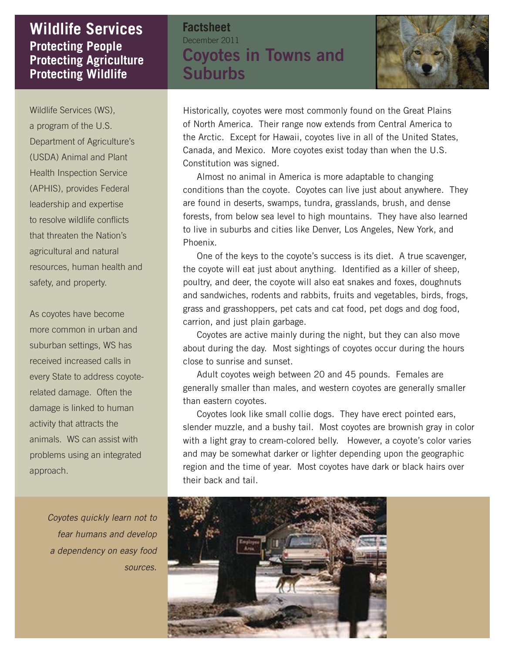## **Protecting People Protecting Agriculture Protecting Wildlife Wildlife Services Factsheet**

December 2011 **Coyotes in Towns and Suburbs**



Wildlife Services (WS), a program of the U.S. Department of Agriculture's (USDA) Animal and Plant Health Inspection Service (APHIS), provides Federal leadership and expertise to resolve wildlife conflicts that threaten the Nation's agricultural and natural resources, human health and safety, and property.

As coyotes have become more common in urban and suburban settings, WS has received increased calls in every State to address coyoterelated damage. Often the damage is linked to human activity that attracts the animals. WS can assist with problems using an integrated approach.

*Coyotes quickly learn not to fear humans and develop a dependency on easy food sources.*

Historically, coyotes were most commonly found on the Great Plains of North America. Their range now extends from Central America to the Arctic. Except for Hawaii, coyotes live in all of the United States, Canada, and Mexico. More coyotes exist today than when the U.S. Constitution was signed.

 Almost no animal in America is more adaptable to changing conditions than the coyote. Coyotes can live just about anywhere. They are found in deserts, swamps, tundra, grasslands, brush, and dense forests, from below sea level to high mountains. They have also learned to live in suburbs and cities like Denver, Los Angeles, New York, and Phoenix.

 One of the keys to the coyote's success is its diet. A true scavenger, the coyote will eat just about anything. Identified as a killer of sheep, poultry, and deer, the coyote will also eat snakes and foxes, doughnuts and sandwiches, rodents and rabbits, fruits and vegetables, birds, frogs, grass and grasshoppers, pet cats and cat food, pet dogs and dog food, carrion, and just plain garbage.

 Coyotes are active mainly during the night, but they can also move about during the day. Most sightings of coyotes occur during the hours close to sunrise and sunset.

 Adult coyotes weigh between 20 and 45 pounds. Females are generally smaller than males, and western coyotes are generally smaller than eastern coyotes.

 Coyotes look like small collie dogs. They have erect pointed ears, slender muzzle, and a bushy tail. Most coyotes are brownish gray in color with a light gray to cream-colored belly. However, a coyote's color varies and may be somewhat darker or lighter depending upon the geographic region and the time of year. Most coyotes have dark or black hairs over their back and tail.

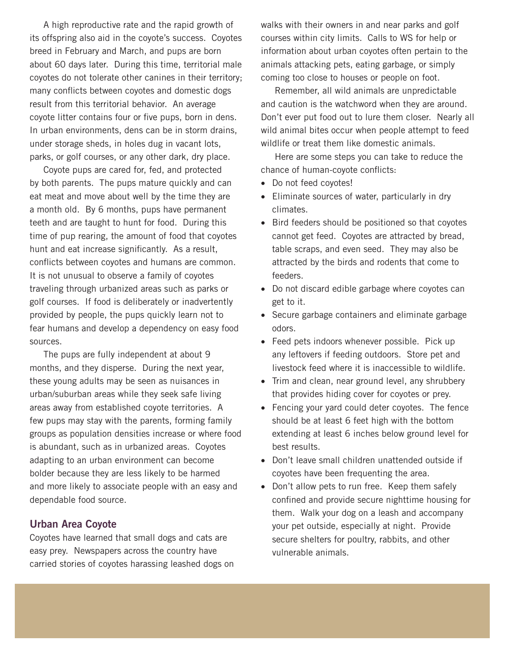A high reproductive rate and the rapid growth of its offspring also aid in the coyote's success. Coyotes breed in February and March, and pups are born about 60 days later. During this time, territorial male coyotes do not tolerate other canines in their territory; many conflicts between coyotes and domestic dogs result from this territorial behavior. An average coyote litter contains four or five pups, born in dens. In urban environments, dens can be in storm drains, under storage sheds, in holes dug in vacant lots, parks, or golf courses, or any other dark, dry place.

 Coyote pups are cared for, fed, and protected by both parents. The pups mature quickly and can eat meat and move about well by the time they are a month old. By 6 months, pups have permanent teeth and are taught to hunt for food. During this time of pup rearing, the amount of food that coyotes hunt and eat increase significantly. As a result, conflicts between coyotes and humans are common. It is not unusual to observe a family of coyotes traveling through urbanized areas such as parks or golf courses. If food is deliberately or inadvertently provided by people, the pups quickly learn not to fear humans and develop a dependency on easy food sources.

 The pups are fully independent at about 9 months, and they disperse. During the next year, these young adults may be seen as nuisances in urban/suburban areas while they seek safe living areas away from established coyote territories. A few pups may stay with the parents, forming family groups as population densities increase or where food is abundant, such as in urbanized areas. Coyotes adapting to an urban environment can become bolder because they are less likely to be harmed and more likely to associate people with an easy and dependable food source.

## **Urban Area Coyote**

Coyotes have learned that small dogs and cats are easy prey. Newspapers across the country have carried stories of coyotes harassing leashed dogs on walks with their owners in and near parks and golf courses within city limits. Calls to WS for help or information about urban coyotes often pertain to the animals attacking pets, eating garbage, or simply coming too close to houses or people on foot.

 Remember, all wild animals are unpredictable and caution is the watchword when they are around. Don't ever put food out to lure them closer. Nearly all wild animal bites occur when people attempt to feed wildlife or treat them like domestic animals.

 Here are some steps you can take to reduce the chance of human-coyote conflicts:

- Do not feed coyotes!
- Eliminate sources of water, particularly in dry climates.
- Bird feeders should be positioned so that coyotes cannot get feed. Coyotes are attracted by bread, table scraps, and even seed. They may also be attracted by the birds and rodents that come to feeders.
- Do not discard edible garbage where coyotes can get to it.
- Secure garbage containers and eliminate garbage odors.
- Feed pets indoors whenever possible. Pick up any leftovers if feeding outdoors. Store pet and livestock feed where it is inaccessible to wildlife.
- Trim and clean, near ground level, any shrubbery that provides hiding cover for coyotes or prey.
- Fencing your yard could deter coyotes. The fence should be at least 6 feet high with the bottom extending at least 6 inches below ground level for best results.
- Don't leave small children unattended outside if coyotes have been frequenting the area.
- Don't allow pets to run free. Keep them safely confined and provide secure nighttime housing for them. Walk your dog on a leash and accompany your pet outside, especially at night. Provide secure shelters for poultry, rabbits, and other vulnerable animals.